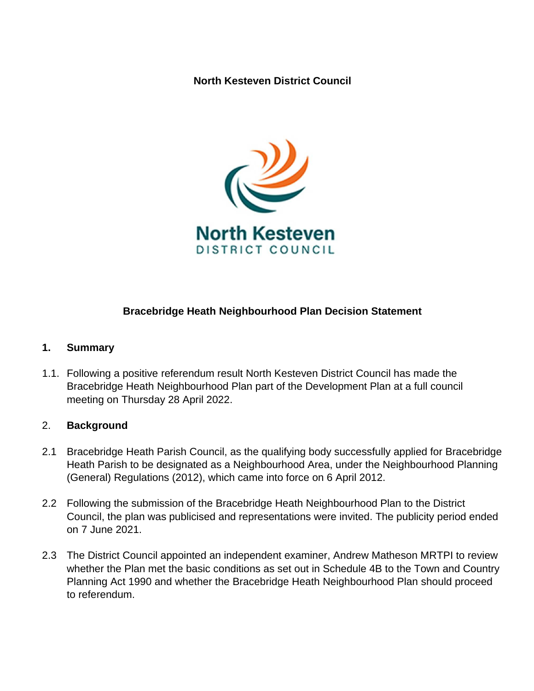**North Kesteven District Council**



## **Bracebridge Heath Neighbourhood Plan Decision Statement**

## **1. Summary**

1.1. Following a positive referendum result North Kesteven District Council has made the Bracebridge Heath Neighbourhood Plan part of the Development Plan at a full council meeting on Thursday 28 April 2022.

## 2. **Background**

- 2.1 Bracebridge Heath Parish Council, as the qualifying body successfully applied for Bracebridge Heath Parish to be designated as a Neighbourhood Area, under the Neighbourhood Planning (General) Regulations (2012), which came into force on 6 April 2012.
- 2.2 Following the submission of the Bracebridge Heath Neighbourhood Plan to the District Council, the plan was publicised and representations were invited. The publicity period ended on 7 June 2021.
- 2.3 The District Council appointed an independent examiner, Andrew Matheson MRTPI to review whether the Plan met the basic conditions as set out in Schedule 4B to the Town and Country Planning Act 1990 and whether the Bracebridge Heath Neighbourhood Plan should proceed to referendum.